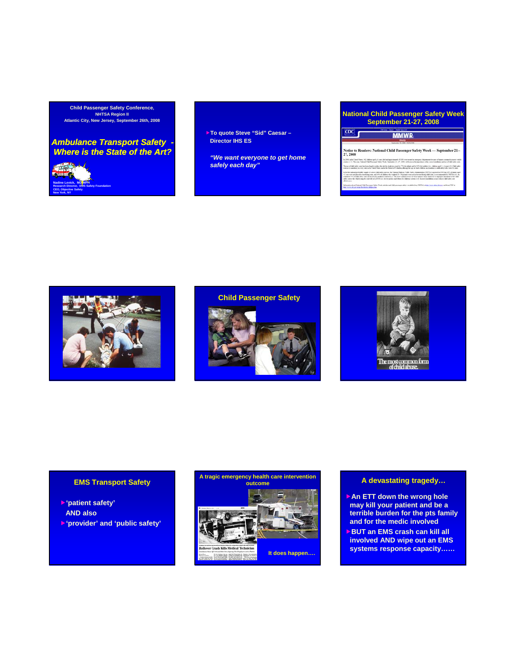**Child Passenger Safety Conference, NHTSA Region II Atlantic City, New Jersey, September 26th, 2008**

### *Ambulance Transport Safety - Where is the State of the Art?*



f**To quote Steve "Sid" Caesar – Director IHS ES**

*"We want everyone to get home safely each day"*

### **National Child Passenger Safety Week September 21-27, 2008**

## **MMWR**

 $CDC$ 

tice to Readers: National Child Passenger Safety Week --- Se mber 21-27.20







### **EMS Transport Safety**

- f**'patient safety' AND also**
- f**'provider' and 'public safety'**



### **A devastating tragedy…**

- **An ETT down the wrong hole may kill your patient and be a terrible burden for the pts family and for the medic involved**
- **BUT an EMS crash can kill all involved AND wipe out an EMS systems response capacity……**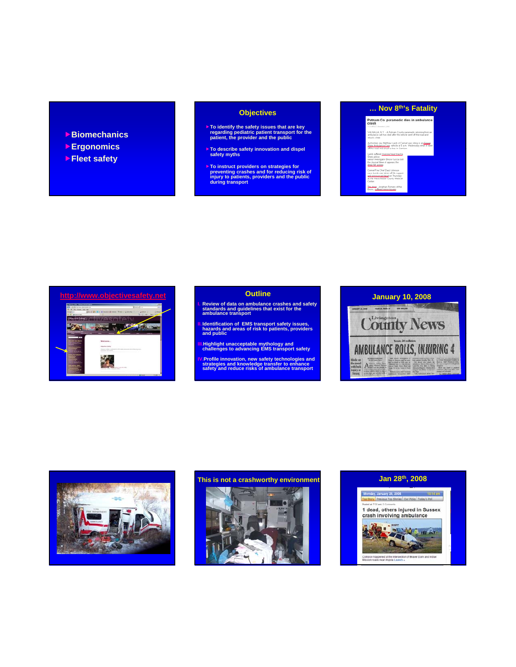- f**Biomechanics**
- **▶<b>Ergonomics**
- **▶Fleet safety**

### **Objectives**

- f**To identify the safety issues that are key regarding pediatric patient transport for the patient, the provider and the public**
- f**To describe safety innovation and dispel To describe safety innovation and safety myths**
- f**To instruct providers on strategies for preventing crashes and for reducing risk of injury to patients, providers and the public during transport**

# **… Nov 8th's Fatality**  Putnam Co. paramedic dies in ambulance A Putnam County paramedic returning from atthew Lamb of Carmel was<br><mark>Corp.</mark> vehicle at 5 a.m. We eep.<br>Chief Daryl Johnson<br>vas taken off life support<br>red dead on Thursday<br>hester County Medical



- **I. Review of data on ambulance crashes and safety standards and guidelines that exist for the ambulance transport**
- **II.Identification of EMS transport safety issues, hazards and areas of risk to patients, providers and public and**
- **III.Highlight unacceptable mythology and challenges to advancing EMS transport safety**
- **IV.Profile innovation, new safety technologies and strategies and knowledge transfer to enhance safety and reduce risks of ambulance transport**







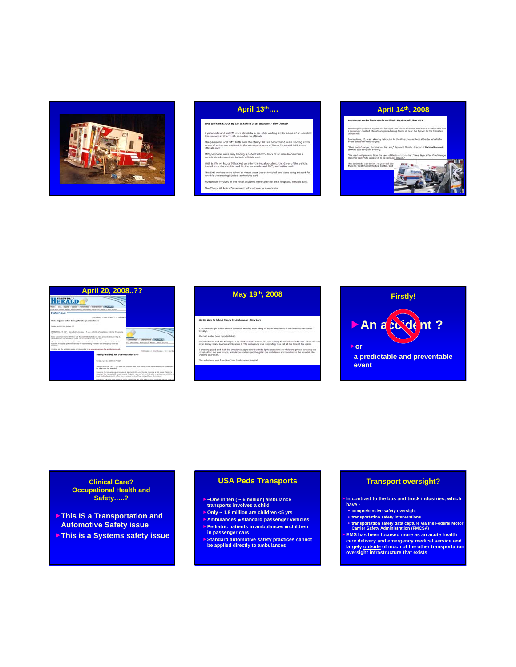

| EMS workers struck by car at scene of an accident - New Jersey                                                                                                                                                                                   |
|--------------------------------------------------------------------------------------------------------------------------------------------------------------------------------------------------------------------------------------------------|
| A paramedic and an EMT were struck by a car while working at the scene of an accident<br>this moming in Cherry Hill, according to officials.                                                                                                     |
| The paramedic and EMT, both from the Cherry Hill Fire Department, were working at the<br>scene of a four-car accident in the westbound lanes of Route 70 around 9:00 a.m<br>경제 이 가지 않은 사람은 사람들이 있어 보이지 않았다.<br>reflectable stand and contract to |
| EMS personnel were busy loading a patient into the back of an ambulance when a<br>vehicle struck them from behind, officials said.                                                                                                               |
| With traffic on Route 70 backed up after the initial accident, the driver of the vehicle<br>turned onto the shoulder and hit the paramedic and EMT, authorities said.                                                                            |
| The EMS workers were taken to Virtua West Jersey Hospital and were being treated for<br>non-life threatening insuries, authorities said.                                                                                                         |
| Five people involved in the initial accident were taken to area hospitals, officials said.                                                                                                                                                       |
| The Cherry Hill Police Department will continue to investigate.                                                                                                                                                                                  |
|                                                                                                                                                                                                                                                  |

### **April 13th…. April 14th, 2008**

### .<br>Irm in accident - West Nyack, New York .<br>Invice worker lost her right ann today after the ambulance in which she v<br>shed into a truck parked along Route 59 mear the Byover to the Palisades Bonne Ames, 20, was taken by helicopter to the Westchester Medical Center in Valhalle .<br>"She's out of danger, but she loot her arm," Ka<br>Senices said sarly this evening. "We used multiple units from the javis of life<br>Drescher said: "She appeared to be seriously The paramedic van sliver, 19-year-old Scot<br>there to Westchester Medical Center, said **COLOR**

| April 20, 2008??                                                                                                                                                                                                              |                                                      |                                                                                                                                                                                                                                                                                                |
|-------------------------------------------------------------------------------------------------------------------------------------------------------------------------------------------------------------------------------|------------------------------------------------------|------------------------------------------------------------------------------------------------------------------------------------------------------------------------------------------------------------------------------------------------------------------------------------------------|
| FRAIN<br>Soon Connorise   Encourage (1958)                                                                                                                                                                                    |                                                      |                                                                                                                                                                                                                                                                                                |
| tele News   Automal Rent   Histograd   Folkscillmark Report   Awas Archive<br><b>State News</b>                                                                                                                               |                                                      |                                                                                                                                                                                                                                                                                                |
|                                                                                                                                                                                                                               | Première des la formalière avec la 212 févrites à 21 |                                                                                                                                                                                                                                                                                                |
| Child injured after being struck by ambulance                                                                                                                                                                                 |                                                      |                                                                                                                                                                                                                                                                                                |
| business thank life. Inside these was closed                                                                                                                                                                                  |                                                      |                                                                                                                                                                                                                                                                                                |
| SPRINGFIELD, SR. [AFT / Springfield policie say at 7-year-old USM is Toroghallood with SN-IDsnahaning<br>tractic after borig id-wit-by an entratenan-                                                                         |                                                      |                                                                                                                                                                                                                                                                                                |
| Policy counterant inamy detector cast the unstantible child was inling a forcette about 4:10 p.m.<br>Estandar when the ambusons shock her. Westerns has from the labor                                                        |                                                      | <b>Contractor</b>                                                                                                                                                                                                                                                                              |
| After traumant at the score. We child such busined encities and used taken to \$1. John's<br>benefial. A freezing synkennowser easy be one stal barry treated to the amerigancy costs late<br><b><i><u>Indication</u></i></b> |                                                      | <b>Christmas Children</b><br>I Disturbes   Policie/Court Angler   Reveal Anchore                                                                                                                                                                                                               |
| White said the articlence was not reasoning to an anangero's when the acceleri possessi                                                                                                                                       |                                                      | from this store. It dones this store. It lied find that                                                                                                                                                                                                                                        |
|                                                                                                                                                                                                                               | Saringfield boy hit by ambulance dies                |                                                                                                                                                                                                                                                                                                |
|                                                                                                                                                                                                                               | Mandas, April 22, 2008 W.St PR 1201                  |                                                                                                                                                                                                                                                                                                |
|                                                                                                                                                                                                                               | for this cure the weekend                            | SPENDFIELD, IR, CAT  A 7-year-old box has ded after being struck by an antiviance while niting                                                                                                                                                                                                 |
|                                                                                                                                                                                                                               |                                                      | Trusteria III. Edmonto mas promiserind dead at 8:37 a.m. Mentas Assento at St. Louis Children's<br>recental. The Channonwell Study source Register reported up its likely arts, A booksamen with the E<br>Louis medical experiency office source a cause of death has not per been determined. |
|                                                                                                                                                                                                                               |                                                      | a car Advants was truite to room a smaat on the aust with of four accord 6.30 n.m. Saturd                                                                                                                                                                                                      |

### .<br>Girl On Way To School Struck By Ambulance - New York

A 15-year-old get was in sensus condition Monday after being hit by an ambulance in the

earlier been reported dead.

The ambulance was from New York Presbyterian Hospital

School officials said the teerager, a student at Public School 99, was walking to echool around 8 a.m. when she is<br>hit at Covey bland Avenue and Avenue K. The anticlance was responding to a call at the time of the crash. Fit at Lunery paint and that the ambitiance. Use amounts in an experiment in a case at tim time of the art cosmo<br>A creasing guiled sed that the ambitiance approached with its lights and seven on while the get was crossing



### **Clinical Care? Occupational Health and Safety…..?**

- f**This IS a Transportation and This IS a Transportation Automotive Safety issue**
- **Fig. 3 This is a Systems safety issue**

### **USA Peds Transports**

f**~One in ten ( ~ 6 million) ambulance transports involves a child**

- f**Only ~ 1.8 million are children <5 yrs** f**A bl m u ances** ≠ **st d d hi l tandard passenger vehicles**
- f**Pediatric patients in ambulances** ≠ **children**
- **in passenger cars** f**Standard automotive safety practices cannot be applied directly to ambulances**

### **Transport oversight?**

**In contrast to the bus and truck industries, which have -**

- **comprehensive safety oversight**
- **transportation safety interventions transportation safety transportation safety data capture via the Federal Motor Carrier Safety Administration (FMCSA)**

f**EMS has been focused more as an acute health care delivery and emergency medical service and largely outside of much of the other transportation oversight infrastructure that exists**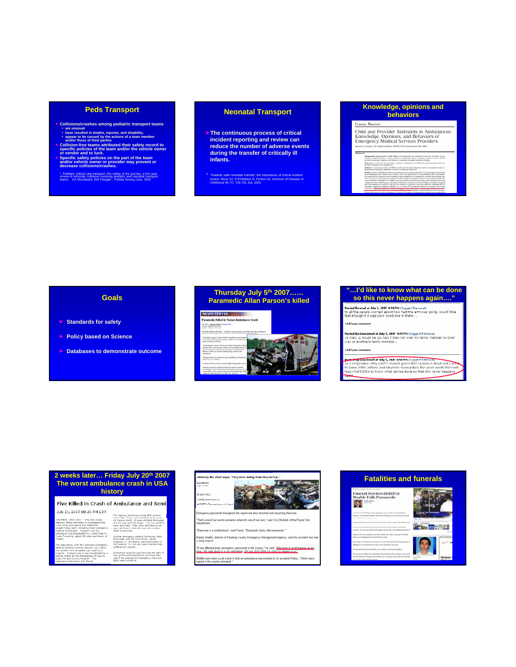### **Peds Transport**

- $\triangleright$  Collisions/crashes among pediatric transport teams<br>  $\cdot$  have resulted in deaths, injuries, and disability.<br>  $\cdot$  have resulted in deaths, injuries, and disability.<br>  $\cdot$  appear to be caused by the actions of a tea
- 
- 

\* Pediatric critical care transport--the safety of the journey: a five-year<br>review of vehicular collisions involving pediatric and neonatal transport<br>teams: GA Woodward, EW Fleegler - Pediatr Emerg Care, 2002

### **Neonatal Transport**

- **Fine continuous process of critical incident reporting and review can reduce the number of adverse events during the transfer of critically ill infants.**
- \* Towards safer neonatal transfer: the importance of critical incident review: Moss SJ, D Embleton N, Fenton AC Archives of Disease In Childhood 90 (7): 729-732 JUL 2005

### **Knowledge, opinions and behaviors**

### CLINICAL PRACTICE

 $\overline{1}$ 

Child and Provider Restraints in Ambulances: Knowledge, Opinions, and Behaviors of<br>Emergency Medical Services Providers

**Notice that the contract N MOS shakes are between the problems and the state of the contract and the contract of the contract of the contract of the contract of the contract of the contract of the contract of the contrac** to of 67.7%. Nearly half were with once of the same of the second phase of the S-body positions in their cases of state in<br>the state of state of the second particle in the state of the state of<br>the state of the second particle of the state of the stat

### **Goals**

- **F** Standards for safety
- **F** Policy based on Science
- **F** Databases to demonstrate outcome

### **Thursday July 5th 2007…… Paramedic Allan Parson's killed** NEWS CENTER **Paramedic Killed In Turner Ambulance Crash** The Sale Manufacturer **CF (NEW) CENTER: - The Med-Care parameters** .<br>sport County Univert's Department wave the Ne<br>most liad fit amerypercy lights on when the pos personality who shoul has been identified as 40 on

### **"…I'd like to know what can be done so this never happens again…."**

-<br>Posted Bymrad at July 5, 2007 4:38 PM (Suggest Removal)<br>to all the people worried about how fast the enrt was going, would it be<br>fast enough if it was your oved one in there.....

Add your comments

Posted Bytfoncemed at July 5, 2007 4r49 PM (Suggest Removal)<br>To mad: It would be too fast if they ran over my family member on their<br>way to another's family member...

Add your con

### Posted myttonremed at July 5, 2007 4:50 PM (Guggest Bernoval)<br>To X respender: Why can't Esemind guess this? A man is dead and EWTh

n know if the actions and situation summunding this were worth this sor<br>oss, And I'd like to know what can be done so that this never happens

# **2 weeks later… Friday July 20th 2007 The worst ambulance crash in USA history** Five Killed in Crash of Ambulance and Semi July 21, 2007 09:20 AM EDT the tetracy result and the state of the state of the state of the state of the state of the state of the state of the state of the state of the state of the state of the state of the state of th July 21, 2007 08:20 AM EDT



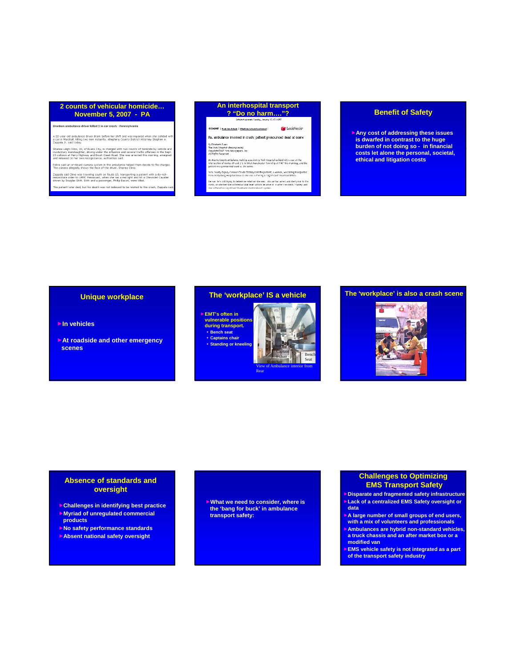### **2 counts of vehicular homicide…**

**November 5, 2007 - PA**

.<br>)runken ambulance driver killed 2 in car crash - Pennsylvania

.<br>I ambulance driver drank before her shift and was impaired when she collided.<br>Iall, killing two men instantly, Allegheny County District Attorney Stephen A.

Suid Comp.<br>
22, of Evans City, is charged with two counts of homic<br>
manislaughter, driving under the influence and several traffic offs<br>
at Peny Highway and Brussh Creek Road.<br>
She was arrested this n<br>
an on-herowing repre

Police said an on-board camera system in the ambulance helped them decide to file charges<br>The camera allegedly shows the face of the driver, Shanea Climo.

Zappala said Climo was traveling south on Route 19, transporting a patient with a do-not-<br>resuscitate order to UPMC Passavant, when she ran a red light and hit a Chevrolet Cavalier<br>driven by Douglas Stitt. Stitt and a pass .<br>he patient later died, but his death was not believed to be related to the crash, Zapp

### **An interhospital transport ? "Do no harm…."? Benefit of Safety**

**IC** | fund the Artists | Effect the Artiste to a formal | **Co** LexisNexis<sup>®</sup> Pa, ambulance involved in crash: patient pronounced dead at scene By Elizabeth Chans<br>The York Dispatish (Pennsylvania)<br>Copyright 2007 "Intk Newspapers, Inc.<br>All Eletts Reserved

n Adens County an belance realiting a patient to York Hings tal collided with a cur at the<br>Newcotion of rootes 20 and 27 c in West Manchester Townd ip at 9547 this monning, and the<br>otient was promouned coad at the seems.

,<br>Yo k Caunty Deputy Coronor Claude Statiny said the patient, a woman, was being transpor<br>From Gottysburg Hospital bocause she was su troring a "significant" heart condition.

som hafs still bying in dielermine what her she soon: Into der be dannels and die digment<br>sh, an schelling she sufficed at label loved affects because of its affect to crash. Maliby<br>continue to construct to an other colour

f**Any cost of addressing these issues is dwarfed in contrast to the huge burden of not doing so - in financial costs let alone the personal, societal, ethical and litigation costs**

### **Unique workplace**

### **▶ In vehicles**

**► At roadside and other emergency scenes**

### **The 'workplace' IS a vehicle**

**EMT's often in vulnerable positions during transport. Bench seat Captains chair Standing or kneeling**



### **The 'workplace' is also a crash scene**



### **Absence of standards and oversight**

- f**Challenges in identifying best practice**
- **Myriad of unregulated commercial products**
- **No safety performance standards**
- **Absent national safety oversight**

f**What we need to consider, where is the 'bang for buck' in ambulance transport safety:** 

### **Challenges to Optimizing EMS Transport Safety**

- **Disparate and fragmented safety infrastructure Lack of a centralized EMS Safety oversight or data**
- A large number of small groups of end users, **with a mix of volunteers and professionals**
- f**Ambulances are hybrid non-standard vehicles, a truck chassis and an after market box or a modified van**
- **EMS vehicle safety is not integrated as a part of the transport safety industry**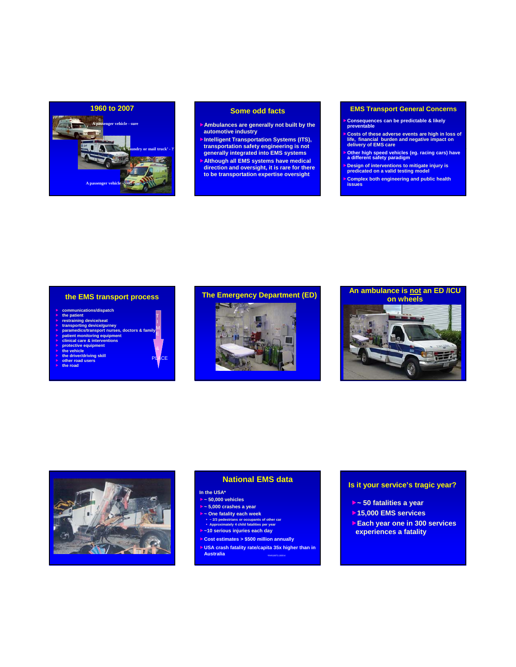

### **Some odd facts**

- f**Ambulances are generally not built by the automotive industry**
- **Intelligent Transportation Systems (ITS), transp yg g ortation safety engineering is not generally integrated into EMS systems**
- f**Although all EMS systems have medical direction and oversight, it is rare for there to be transportation expertise oversight**

### **EMS Transport General Concerns**

- f**Consequences can be predictable & likely preventable**
- f**Costs of these adverse events are high in loss of life, financial burden and negative impact on delivery of EMS care**
- f**Other high speed vehicles (eg. racing cars) have a different safety paradigm**
- f**Design of interventions to mitigate injury is predicated on a valid testing model**
- 

### **the EMS transport process**

T I M

DЕ

- 
- 
- 
- > communications/dispatch<br>  $\triangleright$  the patient<br>  $\triangleright$  transporting device/seat<br>  $\triangleright$  transporting device/seat<br>  $\triangleright$  paramedics/transport nurses, doctors & family<br>  $\triangleright$  patient montrofring equipment<br>  $\triangleright$  clinical
- 
- f **protective equipment**
- 
- **E** the vehicle<br>**F** the driver/driving skill<br>**F** other road users<br>**F** the road
- 







### **National EMS data**

### **In the USA\***

f**~ 50,000 vehicles**

- f**~ 5,000 crashes a year**
- f**~ One fatality each week ~ 2/3 pedestrians or occupants of other car Approximately 4 child fatalities per year**
- f**~10 serious injuries each day**
- f**Cost estimates > \$500 million annually**
- f**USA crash fatality rate/capita 35x higher than in Australia** *\*FARS/BTS 2005-6*

### **Is it your service's tragic year?**

- f**~ 50 fatalities a year**
- $\rightarrow$  **15,000 EMS services**
- f**Each year one in 300 services experiences a fatality**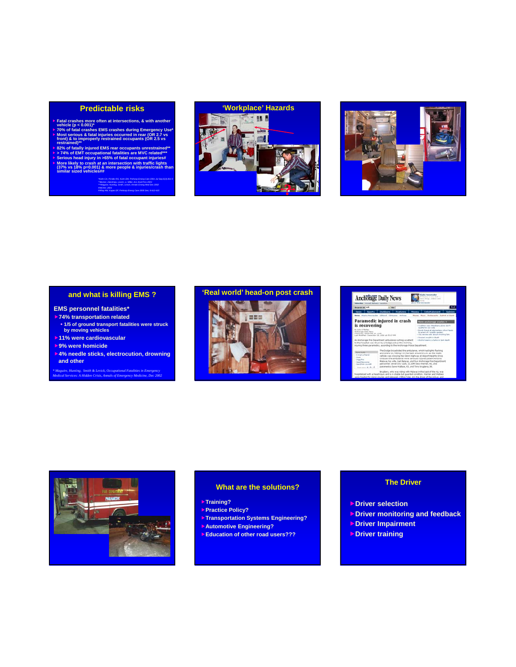### **Predictable risks**

- Fratal crashes more often at intersections, & with another<br>vehicle (p < 0.001)\*<br> $\triangleright$  70% of fatal crashes EMS crashes during Emergency Use\*<br> $\triangleright$  70% of fatal crashes EMS crashes during Emergency Use\*<br>front) & to impro
- 
- restriained"<br>  $\blacktriangleright$  52% of fatally injured EMS rear occupants unrestrained"<br>  $\blacktriangleright$  74% of EMT occupational fatalities are MVC related"<br>  $\blacktriangleright$  Serious head injury in >65% of fatal occupant injuries#<br>  $\blacktriangleright$  More lik

*\*Kahn CA, Pirrallo RG, Kuhn EM, Prehosp Emerg Care 2001 Jul-Sep;5(3):261-9 \*\*Becker, Zaloshnja, Levick, Li, Miller, Acc Anal Prev 2003 \*\*\*Maguire, Hunting, Smith, Levick, Annals Emerg Med Dec 2002 #NIOSH, 2003 ##Ray AM, Kupas DF, Prehosp Emerg Care 2005 Dec; 9:412-415*





### **and what is killing EMS ?**

### **EMS personnel fatalities\***

- f**74% transportation related**
- **1/5 of ground transport fatalities were struck by moving vehicles**
- **11% were cardiovascular**
- f**9% were homicide**
- f**4% needle sticks, electrocution, drowning and other**

*\* Maguire, Hunting, Smith & Levick, Occupational Fatalities in Emergency Medical Services: A Hidden Crisis, Annals of Emergency Medicine, Dec 2002*



| <b>Anchorage Daily News</b><br>about the nearest play<br>duceba   mosail daluare i surato |                                                                                                                                                                                                                                                                                                                                                                                                   |                                                                            |  |  |
|-------------------------------------------------------------------------------------------|---------------------------------------------------------------------------------------------------------------------------------------------------------------------------------------------------------------------------------------------------------------------------------------------------------------------------------------------------------------------------------------------------|----------------------------------------------------------------------------|--|--|
| Search in All                                                                             | $+$ Mor                                                                                                                                                                                                                                                                                                                                                                                           |                                                                            |  |  |
| <b>Sports</b><br><b>News</b>                                                              | <b>Dutchcorp</b><br><b>Features</b>                                                                                                                                                                                                                                                                                                                                                               | Entertainment<br>Money                                                     |  |  |
|                                                                                           | <b>Notes</b> Fixed a Personalist 1300and 1300uponer motivan                                                                                                                                                                                                                                                                                                                                       | Moore)   Russa   Rechaurante   Submit an Essate                            |  |  |
|                                                                                           | Paramedic injured in crash                                                                                                                                                                                                                                                                                                                                                                        | turn anchemage stories =                                                   |  |  |
| is recovering                                                                             |                                                                                                                                                                                                                                                                                                                                                                                                   | - Caaldon east Strasbary plant don't<br>musility that your works.          |  |  |
| By Julia U'Malley<br>Andheises Daily Reve                                                 |                                                                                                                                                                                                                                                                                                                                                                                                   | I Bomb throat at alamentary reheal leads<br>to arrest of 4 sightly-predact |  |  |
| Fulnished Departure 28, 2004<br>Last McAffad: Dacantag 28, 2014 at 49-57 446              |                                                                                                                                                                                                                                                                                                                                                                                                   | - Ola resista ads about crosking bar.                                      |  |  |
|                                                                                           |                                                                                                                                                                                                                                                                                                                                                                                                   | - Surplust awaged in dauth                                                 |  |  |
|                                                                                           | An Anchorage Fire Department ambulance nushing a patient<br>to the hospital was struck by a Dodge pickup this moming.                                                                                                                                                                                                                                                                             | 1. Alaskal spams a factor in tart dayth                                    |  |  |
|                                                                                           | injuring three parametics, according to the Anthorage Police Department.                                                                                                                                                                                                                                                                                                                          |                                                                            |  |  |
|                                                                                           | The Dodge broadcided the angularce, which had Sohrs Raching                                                                                                                                                                                                                                                                                                                                       |                                                                            |  |  |
| <b>Hora Storie</b><br><b>Extrait a finance</b>                                            | and siners on, hitting it in the back around it a.m. as the medic<br>vehicle was orzosing the Glenn Highway at Airport Heights Drive.<br>Ordinand the ambulance were senously may ed patient Antonio<br>Halayai, Nit wife, Gall Malayai, and four Anchorage Fire Department<br>personnel: ditret Dri: Tucitt, 31, EMT Jecs Werner, 40, and<br>paramedics Dave Wallace, 43, and Tony Bruglers, 36. |                                                                            |  |  |
| <b>Blanch</b>                                                                             |                                                                                                                                                                                                                                                                                                                                                                                                   |                                                                            |  |  |
| Drag this<br><b>Seed Secretar</b>                                                         |                                                                                                                                                                                                                                                                                                                                                                                                   |                                                                            |  |  |
| hand look ora with                                                                        |                                                                                                                                                                                                                                                                                                                                                                                                   |                                                                            |  |  |
| Ford mix - A / A   A                                                                      |                                                                                                                                                                                                                                                                                                                                                                                                   |                                                                            |  |  |



### **What are the solutions?**

- f**Training?**
- f**Practice Policy?**
- **Transportation Systems Engineering?**
- f**Automotive Engineering?**
- f**Education of other road users???**

### **The Driver**

- *<b>b* Driver selection
- **F** Driver monitoring and feedback
- f**Driver Impairment**
- *<b>Driver training*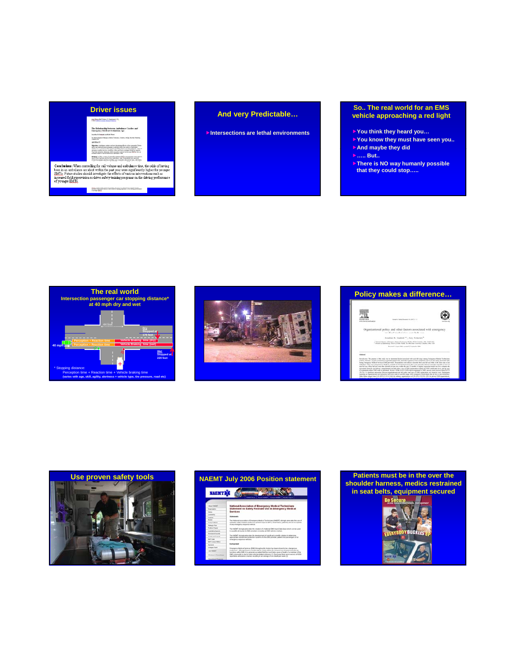

 $\bf ConCluminar: When controlling for call volume and subplane time, the odds of having been in an subplane in a subplane. The output is not within the path we have very significantly higher for your  $\mathbb{E}[\![\![\![\![\![\![\!],\!])\!]$ . Furthermore, the first of various intrivatives are such as  $\mathbb{E}[\![\![\![\![\![],\!])\!]$  for some  $\mathbb{E}[\![\![\![\![\![\![\!],\!])\!]$  for some  $\mathbb{E}[\![\![\![\![\![\![],\!])\!]$  for some  $\mathbb{E}[\![\![\![\![\![],\!])\$$ 

accessed field expectation or dates subtry training program on the detring proformance of prompt (DCS).

### f**Intersections are lethal environments**

### **So.. The real world for an EMS vehicle approaching a red light**

- f**You think they heard you…**
- f**You know they must have seen you..**
- f**And maybe they did And maybe they**
- f**….. But..**
- **Finally Figure 15 NO way humanly possible that they could stop…..**











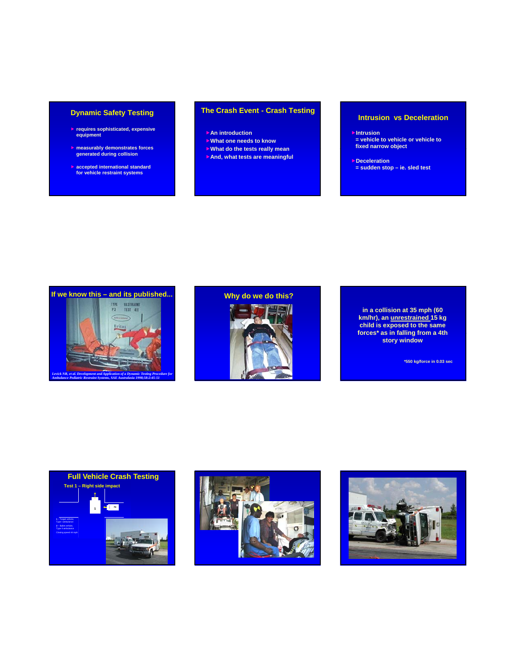### **Dynamic Safety Testing**

- **F** requires sophisticated, expensive **equipment**
- f **measurably demonstrates forces measurably demonstrates generated during collision**
- **accepted international standard for vehicle restraint systems**

### **The Crash Event - Crash Testing**

- **FAn introduction**
- f**What one needs to know**
- f**What do the tests really mean What do the tests really**
- f**And, what tests are meaningful**

### **Intrusion vs Deceleration**

- f**Intrusion = vehicle to vehicle or vehicle to fixed narrow object**
- *<u><b>PDeceleration*</u> **= sudden stop – ie. sled test**



# **Why do we do this?**



**\*550 kg/force in 0.03 sec**





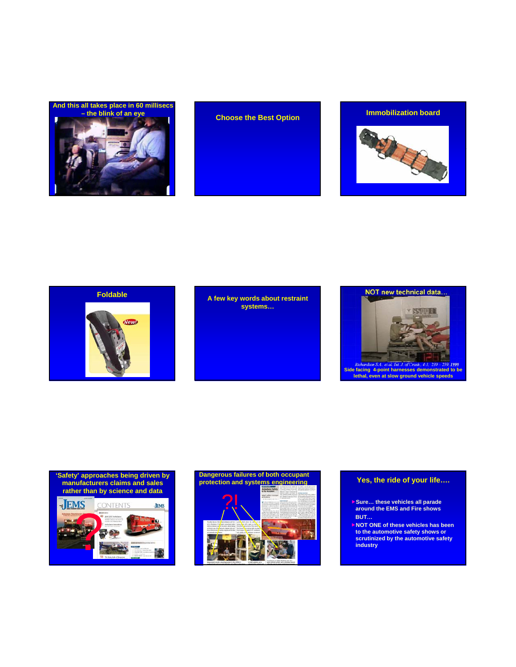







# **systems…**



### **'Safety' approaches being driven by manufacturers claims and sales rather than by science and data JEMS**





### **Yes, the ride of your life….**

- **► Sure... these vehicles all parade around the EMS and Fire shows BUT…**
- f**NOT ONE of these vehicles has been to the automotive safety shows or scrutinized by the automotive safety industry**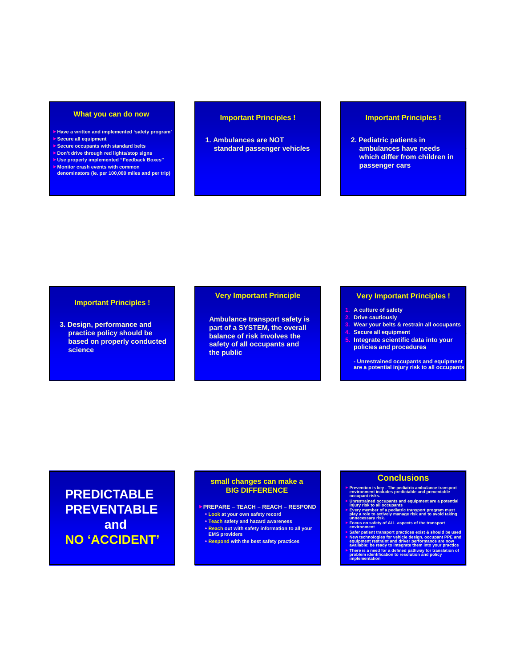### **What you can do now**

- f**Have a written and implemented 'safety program'**
- **Secure all equipment**
- **Secure occupants with standard belts**
- f**Don't drive through red lights/stop signs** f**Use properly implemented "Feedback Boxes"**
- f**Monitor crash events with common**
- **denominators (ie. per 100,000 miles and per trip)**

### **Important Principles !**

**1. Ambulances are NOT standard passenger vehicles standard passenger**

### **Important Principles !**

**2. Pediatric patients in ambulances have needs ambulances have which differ from children in passenger cars**

### **Important Principles !**

**3. Design, performance and practice policy should be practice policy should based on properly conducted science**

### **Very Important Principle**

**Ambulance transport safety is part of a SYSTEM, the overall balance of risk involves the safety of all occupants and the public**

### **Very Important Principles !**

- **1. A culture of safety**
- **2. Drive cautiously**
- **3. Wear your belts & restrain all occupants**
- **8. Secure** all equipment
- **5. Integrate scientific data into your policies and procedures**

**- Unrestrained occupants and equipment are a potential injury risk to all occupants**

# **PREDICTABLE PREVENTABLE and NO 'ACCIDENT'**

### **small changes can make a BIG DIFFERENCE**

- f**PREPARE TEACH REACH RESPOND**
- **Look at your own safety record Teach safety and hazard awareness**
- **Reach out with safety information to all your**
- **EMS providers**
- **Respond with the best safety practices**

### **Conclusions**

- **▶ Prevention is key The pediatric ambulance transport environment includes predictable and preventable**
- **▶ Unrestrained occupants and equipment are a potential**<br> **▶ Unrestrained occupants and equipment are a potential**
- **Every member of a pediatric transport program must<br>play a role to actively manage risk and to avoid taking<br>unnecessary risk.<br>Explored the role of the transport<br>** $\bullet$  **Focus on safety of ALL aspects of the transport<br>** $\bullet$  **Na**
- 
- **Example 10** elementopies for whiche design, occupant PPE and equipment restraint and driver performance are now available: be ready to integrate them into your practice  $\blacktriangleright$  There is a need for a defined pathway for t